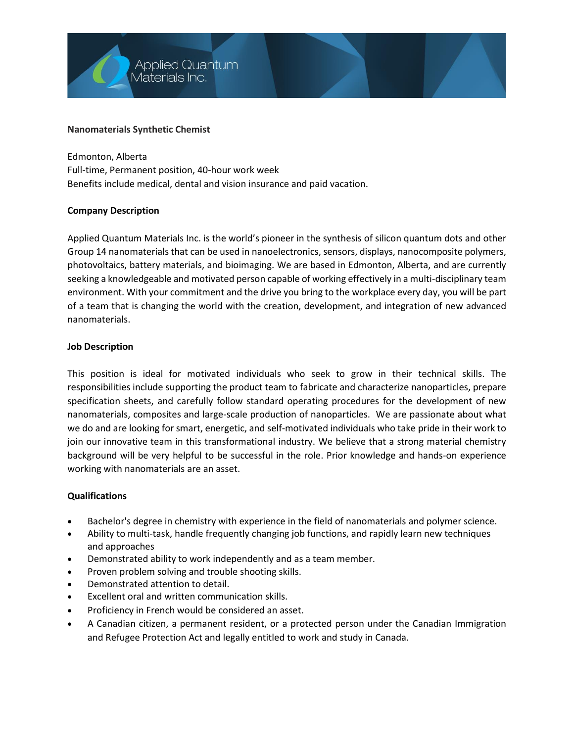

## **Nanomaterials Synthetic Chemist**

Edmonton, Alberta Full-time, Permanent position, 40-hour work week Benefits include medical, dental and vision insurance and paid vacation.

## **Company Description**

Applied Quantum Materials Inc. is the world's pioneer in the synthesis of silicon quantum dots and other Group 14 nanomaterials that can be used in nanoelectronics, sensors, displays, nanocomposite polymers, photovoltaics, battery materials, and bioimaging. We are based in Edmonton, Alberta, and are currently seeking a knowledgeable and motivated person capable of working effectively in a multi-disciplinary team environment. With your commitment and the drive you bring to the workplace every day, you will be part of a team that is changing the world with the creation, development, and integration of new advanced nanomaterials.

## **Job Description**

This position is ideal for motivated individuals who seek to grow in their technical skills. The responsibilities include supporting the product team to fabricate and characterize nanoparticles, prepare specification sheets, and carefully follow standard operating procedures for the development of new nanomaterials, composites and large-scale production of nanoparticles. We are passionate about what we do and are looking for smart, energetic, and self-motivated individuals who take pride in their work to join our innovative team in this transformational industry. We believe that a strong material chemistry background will be very helpful to be successful in the role. Prior knowledge and hands-on experience working with nanomaterials are an asset.

#### **Qualifications**

- Bachelor's degree in chemistry with experience in the field of nanomaterials and polymer science.
- Ability to multi-task, handle frequently changing job functions, and rapidly learn new techniques and approaches
- Demonstrated ability to work independently and as a team member.
- Proven problem solving and trouble shooting skills.
- Demonstrated attention to detail.
- Excellent oral and written communication skills.
- Proficiency in French would be considered an asset.
- A Canadian citizen, a permanent resident, or a protected person under the Canadian [Immigration](http://laws.justice.gc.ca/eng/acts/i-2.5/)  [and Refugee Protection Act](http://laws.justice.gc.ca/eng/acts/i-2.5/) and legally entitled to work and study in Canada.